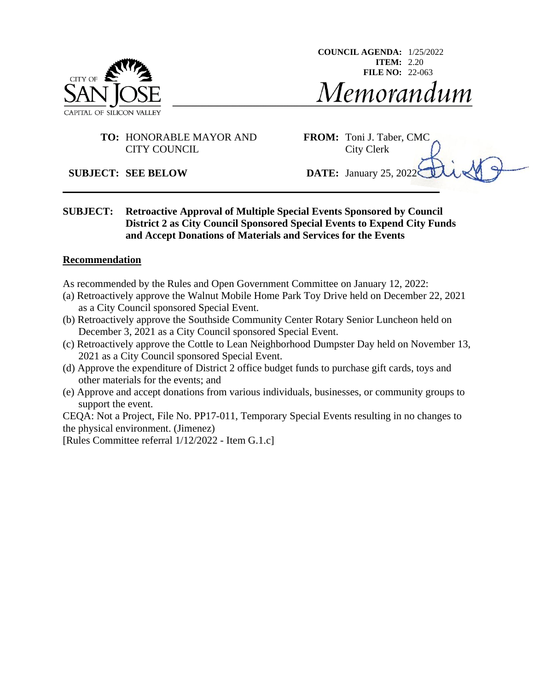

**COUNCIL AGENDA:** 1/25/2022 **ITEM:** 2.20 **FILE NO:** 22-063Memorandum

#### **TO:** HONORABLE MAYOR AND **FROM:** Toni J. Taber, CMC CITY COUNCIL City Clerk

**SUBJECT: SEE BELOW DATE:** January 25, 2022

**SUBJECT: Retroactive Approval of Multiple Special Events Sponsored by Council District 2 as City Council Sponsored Special Events to Expend City Funds and Accept Donations of Materials and Services for the Events**

#### **Recommendation**

As recommended by the Rules and Open Government Committee on January 12, 2022:

- (a) Retroactively approve the Walnut Mobile Home Park Toy Drive held on December 22, 2021 as a City Council sponsored Special Event.
- (b) Retroactively approve the Southside Community Center Rotary Senior Luncheon held on December 3, 2021 as a City Council sponsored Special Event.
- (c) Retroactively approve the Cottle to Lean Neighborhood Dumpster Day held on November 13, 2021 as a City Council sponsored Special Event.
- (d) Approve the expenditure of District 2 office budget funds to purchase gift cards, toys and other materials for the events; and
- (e) Approve and accept donations from various individuals, businesses, or community groups to support the event.

CEQA: Not a Project, File No. PP17-011, Temporary Special Events resulting in no changes to the physical environment. (Jimenez)

[Rules Committee referral 1/12/2022 - Item G.1.c]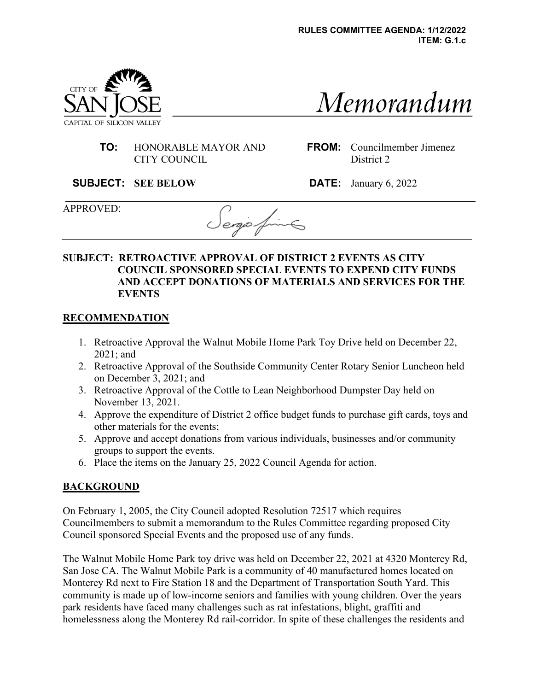

# Memorandum

 **TO:** HONORABLE MAYOR AND CITY COUNCIL

**FROM:** Councilmember Jimenez District 2

**SUBJECT: SEE BELOW DATE:** January 6, 2022

APPROVED:

ergio 4

#### **SUBJECT: RETROACTIVE APPROVAL OF DISTRICT 2 EVENTS AS CITY COUNCIL SPONSORED SPECIAL EVENTS TO EXPEND CITY FUNDS AND ACCEPT DONATIONS OF MATERIALS AND SERVICES FOR THE EVENTS**

#### **RECOMMENDATION**

- 1. Retroactive Approval the Walnut Mobile Home Park Toy Drive held on December 22, 2021; and
- 2. Retroactive Approval of the Southside Community Center Rotary Senior Luncheon held on December 3, 2021; and
- 3. Retroactive Approval of the Cottle to Lean Neighborhood Dumpster Day held on November 13, 2021.
- 4. Approve the expenditure of District 2 office budget funds to purchase gift cards, toys and other materials for the events;
- 5. Approve and accept donations from various individuals, businesses and/or community groups to support the events.
- 6. Place the items on the January 25, 2022 Council Agenda for action.

## **BACKGROUND**

On February 1, 2005, the City Council adopted Resolution 72517 which requires Councilmembers to submit a memorandum to the Rules Committee regarding proposed City Council sponsored Special Events and the proposed use of any funds.

The Walnut Mobile Home Park toy drive was held on December 22, 2021 at 4320 Monterey Rd, San Jose CA. The Walnut Mobile Park is a community of 40 manufactured homes located on Monterey Rd next to Fire Station 18 and the Department of Transportation South Yard. This community is made up of low-income seniors and families with young children. Over the years park residents have faced many challenges such as rat infestations, blight, graffiti and homelessness along the Monterey Rd rail-corridor. In spite of these challenges the residents and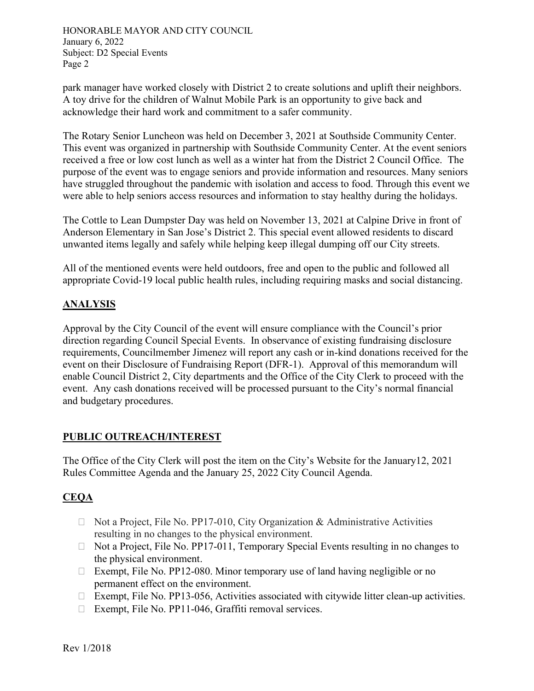HONORABLE MAYOR AND CITY COUNCIL January 6, 2022 Subject: D2 Special Events Page 2

park manager have worked closely with District 2 to create solutions and uplift their neighbors. A toy drive for the children of Walnut Mobile Park is an opportunity to give back and acknowledge their hard work and commitment to a safer community.

The Rotary Senior Luncheon was held on December 3, 2021 at Southside Community Center. This event was organized in partnership with Southside Community Center. At the event seniors received a free or low cost lunch as well as a winter hat from the District 2 Council Office. The purpose of the event was to engage seniors and provide information and resources. Many seniors have struggled throughout the pandemic with isolation and access to food. Through this event we were able to help seniors access resources and information to stay healthy during the holidays.

The Cottle to Lean Dumpster Day was held on November 13, 2021 at Calpine Drive in front of Anderson Elementary in San Jose's District 2. This special event allowed residents to discard unwanted items legally and safely while helping keep illegal dumping off our City streets.

All of the mentioned events were held outdoors, free and open to the public and followed all appropriate Covid-19 local public health rules, including requiring masks and social distancing.

# **ANALYSIS**

Approval by the City Council of the event will ensure compliance with the Council's prior direction regarding Council Special Events. In observance of existing fundraising disclosure requirements, Councilmember Jimenez will report any cash or in-kind donations received for the event on their Disclosure of Fundraising Report (DFR-1). Approval of this memorandum will enable Council District 2, City departments and the Office of the City Clerk to proceed with the event. Any cash donations received will be processed pursuant to the City's normal financial and budgetary procedures.

#### **PUBLIC OUTREACH/INTEREST**

The Office of the City Clerk will post the item on the City's Website for the January12, 2021 Rules Committee Agenda and the January 25, 2022 City Council Agenda.

## **CEQA**

- $\Box$  Not a Project, File No. PP17-010, City Organization & Administrative Activities resulting in no changes to the physical environment.
- $\Box$  Not a Project, File No. PP17-011, Temporary Special Events resulting in no changes to the physical environment.
- $\Box$  Exempt, File No. PP12-080. Minor temporary use of land having negligible or no permanent effect on the environment.
- Exempt, File No. PP13-056, Activities associated with citywide litter clean-up activities.
- □ Exempt, File No. PP11-046, Graffiti removal services.